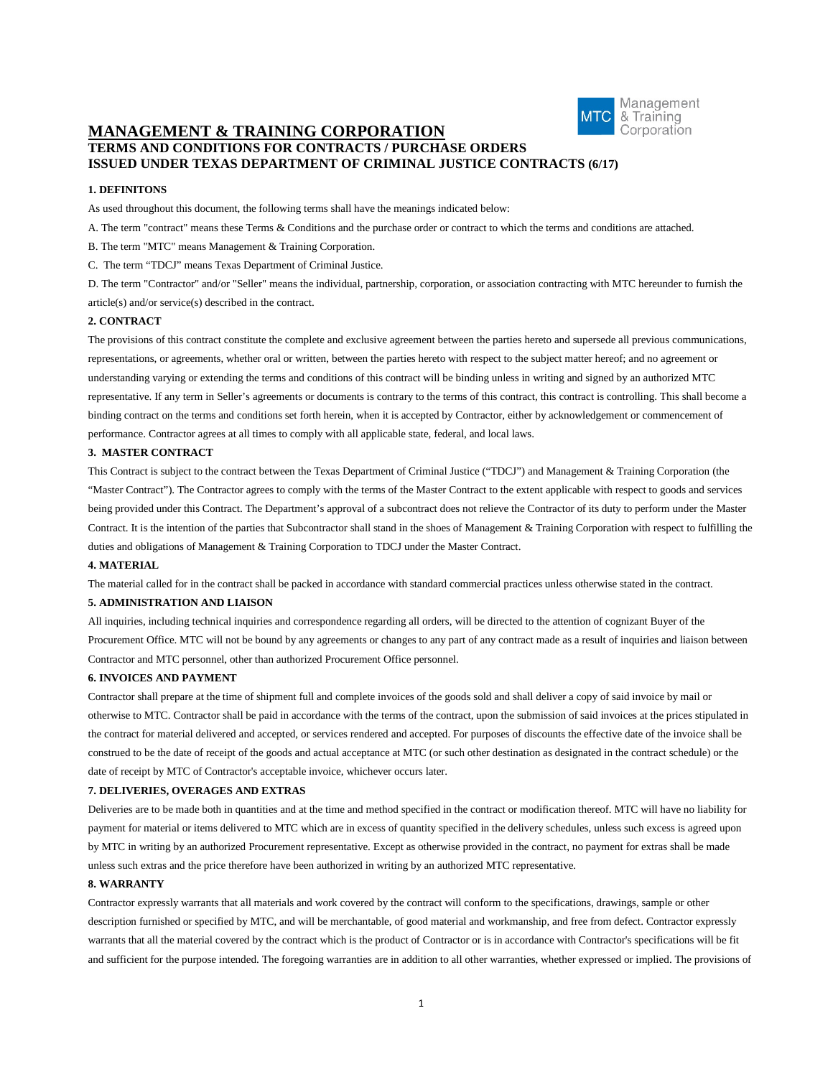

# **MANAGEMENT & TRAINING CORPORATION TERMS AND CONDITIONS FOR CONTRACTS / PURCHASE ORDERS ISSUED UNDER TEXAS DEPARTMENT OF CRIMINAL JUSTICE CONTRACTS (6/17)**

### **1. DEFINITONS**

As used throughout this document, the following terms shall have the meanings indicated below:

A. The term "contract" means these Terms & Conditions and the purchase order or contract to which the terms and conditions are attached.

B. The term "MTC" means Management & Training Corporation.

C. The term "TDCJ" means Texas Department of Criminal Justice.

D. The term "Contractor" and/or "Seller" means the individual, partnership, corporation, or association contracting with MTC hereunder to furnish the article(s) and/or service(s) described in the contract.

### **2. CONTRACT**

The provisions of this contract constitute the complete and exclusive agreement between the parties hereto and supersede all previous communications, representations, or agreements, whether oral or written, between the parties hereto with respect to the subject matter hereof; and no agreement or understanding varying or extending the terms and conditions of this contract will be binding unless in writing and signed by an authorized MTC representative. If any term in Seller's agreements or documents is contrary to the terms of this contract, this contract is controlling. This shall become a binding contract on the terms and conditions set forth herein, when it is accepted by Contractor, either by acknowledgement or commencement of performance. Contractor agrees at all times to comply with all applicable state, federal, and local laws.

### **3. MASTER CONTRACT**

This Contract is subject to the contract between the Texas Department of Criminal Justice ("TDCJ") and Management & Training Corporation (the "Master Contract"). The Contractor agrees to comply with the terms of the Master Contract to the extent applicable with respect to goods and services being provided under this Contract. The Department's approval of a subcontract does not relieve the Contractor of its duty to perform under the Master Contract. It is the intention of the parties that Subcontractor shall stand in the shoes of Management & Training Corporation with respect to fulfilling the duties and obligations of Management & Training Corporation to TDCJ under the Master Contract.

#### **4. MATERIAL**

The material called for in the contract shall be packed in accordance with standard commercial practices unless otherwise stated in the contract.

### **5. ADMINISTRATION AND LIAISON**

All inquiries, including technical inquiries and correspondence regarding all orders, will be directed to the attention of cognizant Buyer of the Procurement Office. MTC will not be bound by any agreements or changes to any part of any contract made as a result of inquiries and liaison between Contractor and MTC personnel, other than authorized Procurement Office personnel.

### **6. INVOICES AND PAYMENT**

Contractor shall prepare at the time of shipment full and complete invoices of the goods sold and shall deliver a copy of said invoice by mail or otherwise to MTC. Contractor shall be paid in accordance with the terms of the contract, upon the submission of said invoices at the prices stipulated in the contract for material delivered and accepted, or services rendered and accepted. For purposes of discounts the effective date of the invoice shall be construed to be the date of receipt of the goods and actual acceptance at MTC (or such other destination as designated in the contract schedule) or the date of receipt by MTC of Contractor's acceptable invoice, whichever occurs later.

#### **7. DELIVERIES, OVERAGES AND EXTRAS**

Deliveries are to be made both in quantities and at the time and method specified in the contract or modification thereof. MTC will have no liability for payment for material or items delivered to MTC which are in excess of quantity specified in the delivery schedules, unless such excess is agreed upon by MTC in writing by an authorized Procurement representative. Except as otherwise provided in the contract, no payment for extras shall be made unless such extras and the price therefore have been authorized in writing by an authorized MTC representative.

### **8. WARRANTY**

Contractor expressly warrants that all materials and work covered by the contract will conform to the specifications, drawings, sample or other description furnished or specified by MTC, and will be merchantable, of good material and workmanship, and free from defect. Contractor expressly warrants that all the material covered by the contract which is the product of Contractor or is in accordance with Contractor's specifications will be fit and sufficient for the purpose intended. The foregoing warranties are in addition to all other warranties, whether expressed or implied. The provisions of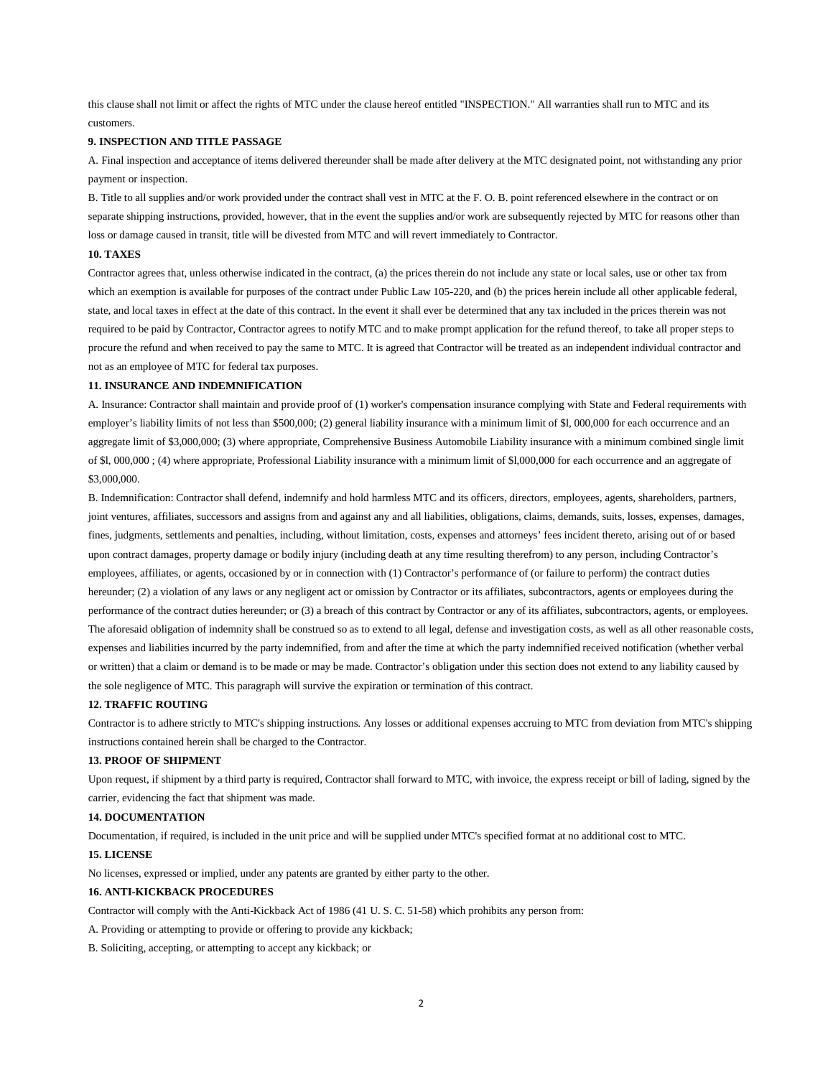this clause shall not limit or affect the rights of MTC under the clause hereof entitled "INSPECTION." All warranties shall run to MTC and its customers.

### **9. INSPECTION AND TITLE PASSAGE**

A. Final inspection and acceptance of items delivered thereunder shall be made after delivery at the MTC designated point, not withstanding any prior payment or inspection.

B. Title to all supplies and/or work provided under the contract shall vest in MTC at the F. O. B. point referenced elsewhere in the contract or on separate shipping instructions, provided, however, that in the event the supplies and/or work are subsequently rejected by MTC for reasons other than loss or damage caused in transit, title will be divested from MTC and will revert immediately to Contractor.

#### **10. TAXES**

Contractor agrees that, unless otherwise indicated in the contract, (a) the prices therein do not include any state or local sales, use or other tax from which an exemption is available for purposes of the contract under Public Law 105-220, and (b) the prices herein include all other applicable federal, state, and local taxes in effect at the date of this contract. In the event it shall ever be determined that any tax included in the prices therein was not required to be paid by Contractor, Contractor agrees to notify MTC and to make prompt application for the refund thereof, to take all proper steps to procure the refund and when received to pay the same to MTC. It is agreed that Contractor will be treated as an independent individual contractor and not as an employee of MTC for federal tax purposes.

#### **11. INSURANCE AND INDEMNIFICATION**

A. Insurance: Contractor shall maintain and provide proof of (1) worker's compensation insurance complying with State and Federal requirements with employer's liability limits of not less than \$500,000; (2) general liability insurance with a minimum limit of \$l, 000,000 for each occurrence and an aggregate limit of \$3,000,000; (3) where appropriate, Comprehensive Business Automobile Liability insurance with a minimum combined single limit of \$l, 000,000 ; (4) where appropriate, Professional Liability insurance with a minimum limit of \$l,000,000 for each occurrence and an aggregate of \$3,000,000.

B. Indemnification: Contractor shall defend, indemnify and hold harmless MTC and its officers, directors, employees, agents, shareholders, partners, joint ventures, affiliates, successors and assigns from and against any and all liabilities, obligations, claims, demands, suits, losses, expenses, damages, fines, judgments, settlements and penalties, including, without limitation, costs, expenses and attorneys' fees incident thereto, arising out of or based upon contract damages, property damage or bodily injury (including death at any time resulting therefrom) to any person, including Contractor's employees, affiliates, or agents, occasioned by or in connection with (1) Contractor's performance of (or failure to perform) the contract duties hereunder; (2) a violation of any laws or any negligent act or omission by Contractor or its affiliates, subcontractors, agents or employees during the performance of the contract duties hereunder; or (3) a breach of this contract by Contractor or any of its affiliates, subcontractors, agents, or employees. The aforesaid obligation of indemnity shall be construed so as to extend to all legal, defense and investigation costs, as well as all other reasonable costs, expenses and liabilities incurred by the party indemnified, from and after the time at which the party indemnified received notification (whether verbal or written) that a claim or demand is to be made or may be made. Contractor's obligation under this section does not extend to any liability caused by the sole negligence of MTC. This paragraph will survive the expiration or termination of this contract.

#### **12. TRAFFIC ROUTING**

Contractor is to adhere strictly to MTC's shipping instructions. Any losses or additional expenses accruing to MTC from deviation from MTC's shipping instructions contained herein shall be charged to the Contractor.

### **13. PROOF OF SHIPMENT**

Upon request, if shipment by a third party is required, Contractor shall forward to MTC, with invoice, the express receipt or bill of lading, signed by the carrier, evidencing the fact that shipment was made.

### **14. DOCUMENTATION**

Documentation, if required, is included in the unit price and will be supplied under MTC's specified format at no additional cost to MTC.

### **15. LICENSE**

No licenses, expressed or implied, under any patents are granted by either party to the other.

# **16. ANTI-KICKBACK PROCEDURES**

Contractor will comply with the Anti-Kickback Act of 1986 (41 U. S. C. 51-58) which prohibits any person from:

A. Providing or attempting to provide or offering to provide any kickback;

B. Soliciting, accepting, or attempting to accept any kickback; or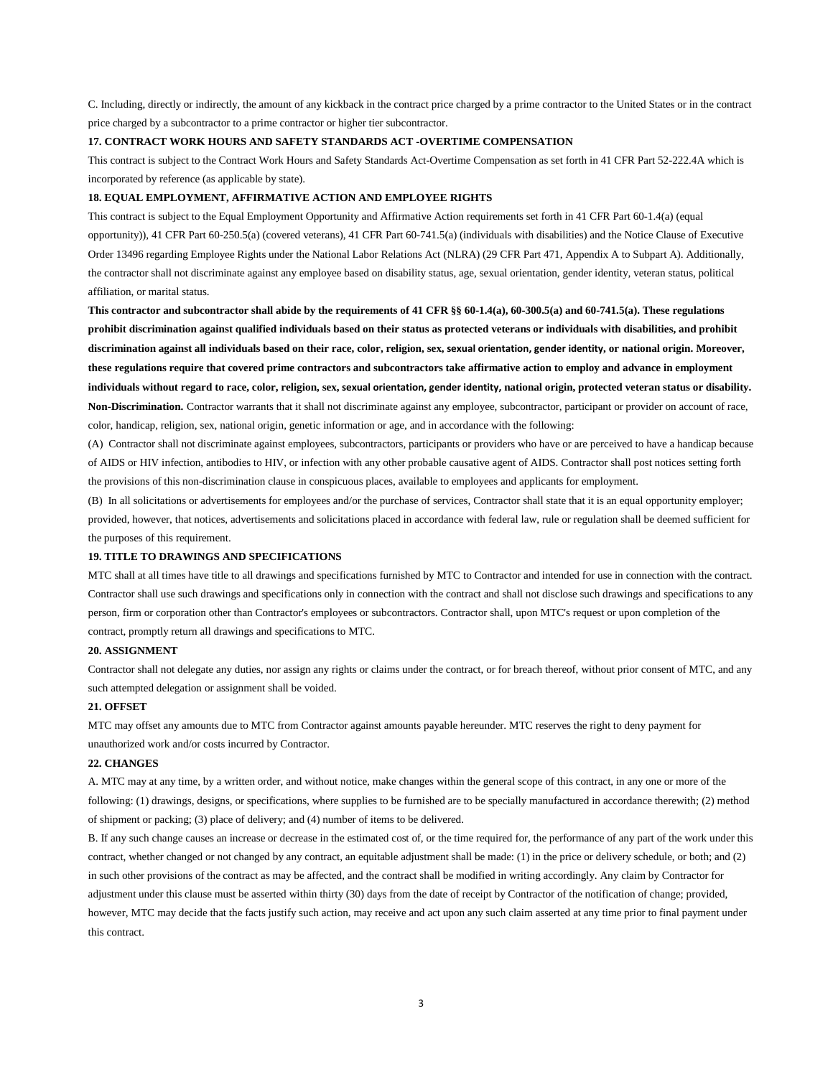C. Including, directly or indirectly, the amount of any kickback in the contract price charged by a prime contractor to the United States or in the contract price charged by a subcontractor to a prime contractor or higher tier subcontractor.

### **17. CONTRACT WORK HOURS AND SAFETY STANDARDS ACT -OVERTIME COMPENSATION**

This contract is subject to the Contract Work Hours and Safety Standards Act-Overtime Compensation as set forth in 41 CFR Part 52-222.4A which is incorporated by reference (as applicable by state).

#### **18. EQUAL EMPLOYMENT, AFFIRMATIVE ACTION AND EMPLOYEE RIGHTS**

This contract is subject to the Equal Employment Opportunity and Affirmative Action requirements set forth in 41 CFR Part 60-1.4(a) (equal opportunity)), 41 CFR Part 60-250.5(a) (covered veterans), 41 CFR Part 60-741.5(a) (individuals with disabilities) and the Notice Clause of Executive Order 13496 regarding Employee Rights under the National Labor Relations Act (NLRA) (29 CFR Part 471, Appendix A to Subpart A). Additionally, the contractor shall not discriminate against any employee based on disability status, age, sexual orientation, gender identity, veteran status, political affiliation, or marital status.

**This contractor and subcontractor shall abide by the requirements of 41 CFR §§ 60-1.4(a), 60-300.5(a) and 60-741.5(a). These regulations prohibit discrimination against qualified individuals based on their status as protected veterans or individuals with disabilities, and prohibit discrimination against all individuals based on their race, color, religion, sex, sexual orientation, gender identity, or national origin. Moreover, these regulations require that covered prime contractors and subcontractors take affirmative action to employ and advance in employment individuals without regard to race, color, religion, sex, sexual orientation, gender identity, national origin, protected veteran status or disability. Non-Discrimination.** Contractor warrants that it shall not discriminate against any employee, subcontractor, participant or provider on account of race, color, handicap, religion, sex, national origin, genetic information or age, and in accordance with the following:

(A) Contractor shall not discriminate against employees, subcontractors, participants or providers who have or are perceived to have a handicap because of AIDS or HIV infection, antibodies to HIV, or infection with any other probable causative agent of AIDS. Contractor shall post notices setting forth the provisions of this non-discrimination clause in conspicuous places, available to employees and applicants for employment.

(B) In all solicitations or advertisements for employees and/or the purchase of services, Contractor shall state that it is an equal opportunity employer; provided, however, that notices, advertisements and solicitations placed in accordance with federal law, rule or regulation shall be deemed sufficient for the purposes of this requirement.

#### **19. TITLE TO DRAWINGS AND SPECIFICATIONS**

MTC shall at all times have title to all drawings and specifications furnished by MTC to Contractor and intended for use in connection with the contract. Contractor shall use such drawings and specifications only in connection with the contract and shall not disclose such drawings and specifications to any person, firm or corporation other than Contractor's employees or subcontractors. Contractor shall, upon MTC's request or upon completion of the contract, promptly return all drawings and specifications to MTC.

### **20. ASSIGNMENT**

Contractor shall not delegate any duties, nor assign any rights or claims under the contract, or for breach thereof, without prior consent of MTC, and any such attempted delegation or assignment shall be voided.

### **21. OFFSET**

MTC may offset any amounts due to MTC from Contractor against amounts payable hereunder. MTC reserves the right to deny payment for unauthorized work and/or costs incurred by Contractor.

#### **22. CHANGES**

A. MTC may at any time, by a written order, and without notice, make changes within the general scope of this contract, in any one or more of the following: (1) drawings, designs, or specifications, where supplies to be furnished are to be specially manufactured in accordance therewith; (2) method of shipment or packing; (3) place of delivery; and (4) number of items to be delivered.

B. If any such change causes an increase or decrease in the estimated cost of, or the time required for, the performance of any part of the work under this contract, whether changed or not changed by any contract, an equitable adjustment shall be made: (1) in the price or delivery schedule, or both; and (2) in such other provisions of the contract as may be affected, and the contract shall be modified in writing accordingly. Any claim by Contractor for adjustment under this clause must be asserted within thirty (30) days from the date of receipt by Contractor of the notification of change; provided, however, MTC may decide that the facts justify such action, may receive and act upon any such claim asserted at any time prior to final payment under this contract.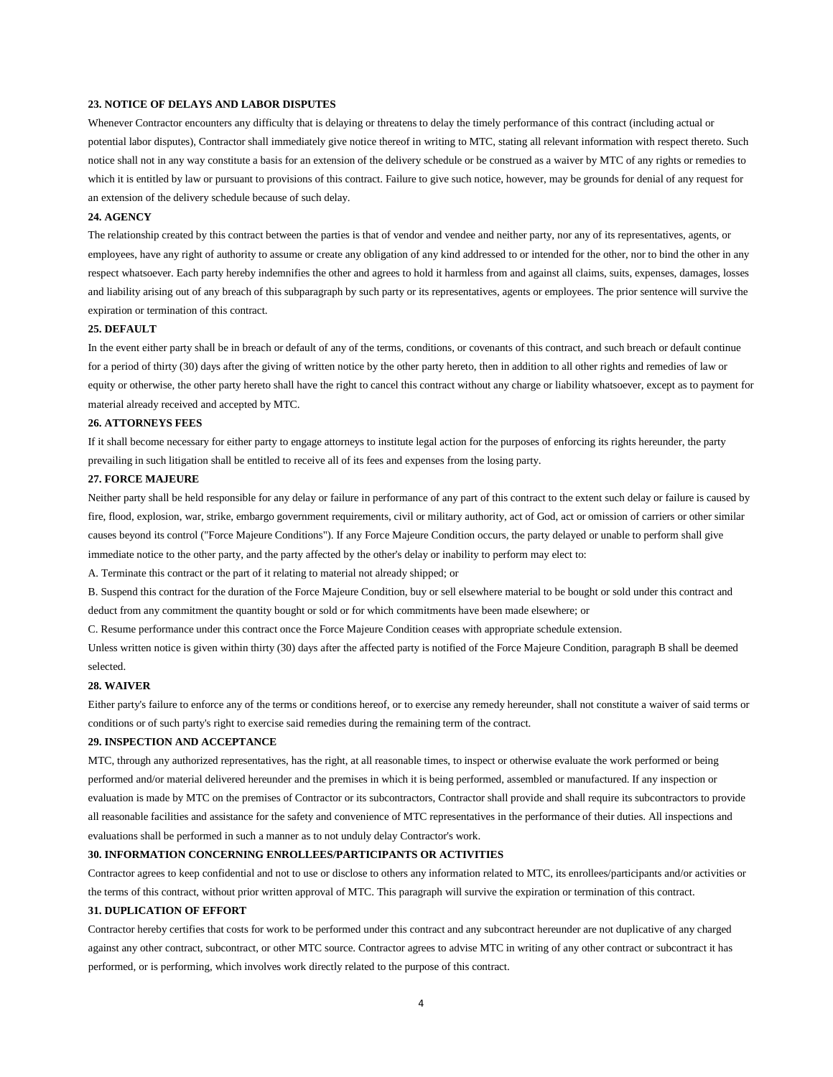### **23. NOTICE OF DELAYS AND LABOR DISPUTES**

Whenever Contractor encounters any difficulty that is delaying or threatens to delay the timely performance of this contract (including actual or potential labor disputes), Contractor shall immediately give notice thereof in writing to MTC, stating all relevant information with respect thereto. Such notice shall not in any way constitute a basis for an extension of the delivery schedule or be construed as a waiver by MTC of any rights or remedies to which it is entitled by law or pursuant to provisions of this contract. Failure to give such notice, however, may be grounds for denial of any request for an extension of the delivery schedule because of such delay.

### **24. AGENCY**

The relationship created by this contract between the parties is that of vendor and vendee and neither party, nor any of its representatives, agents, or employees, have any right of authority to assume or create any obligation of any kind addressed to or intended for the other, nor to bind the other in any respect whatsoever. Each party hereby indemnifies the other and agrees to hold it harmless from and against all claims, suits, expenses, damages, losses and liability arising out of any breach of this subparagraph by such party or its representatives, agents or employees. The prior sentence will survive the expiration or termination of this contract.

#### **25. DEFAULT**

In the event either party shall be in breach or default of any of the terms, conditions, or covenants of this contract, and such breach or default continue for a period of thirty (30) days after the giving of written notice by the other party hereto, then in addition to all other rights and remedies of law or equity or otherwise, the other party hereto shall have the right to cancel this contract without any charge or liability whatsoever, except as to payment for material already received and accepted by MTC.

#### **26. ATTORNEYS FEES**

If it shall become necessary for either party to engage attorneys to institute legal action for the purposes of enforcing its rights hereunder, the party prevailing in such litigation shall be entitled to receive all of its fees and expenses from the losing party.

### **27. FORCE MAJEURE**

Neither party shall be held responsible for any delay or failure in performance of any part of this contract to the extent such delay or failure is caused by fire, flood, explosion, war, strike, embargo government requirements, civil or military authority, act of God, act or omission of carriers or other similar causes beyond its control ("Force Majeure Conditions"). If any Force Majeure Condition occurs, the party delayed or unable to perform shall give immediate notice to the other party, and the party affected by the other's delay or inability to perform may elect to:

A. Terminate this contract or the part of it relating to material not already shipped; or

B. Suspend this contract for the duration of the Force Majeure Condition, buy or sell elsewhere material to be bought or sold under this contract and deduct from any commitment the quantity bought or sold or for which commitments have been made elsewhere; or

C. Resume performance under this contract once the Force Majeure Condition ceases with appropriate schedule extension.

Unless written notice is given within thirty (30) days after the affected party is notified of the Force Majeure Condition, paragraph B shall be deemed selected.

### **28. WAIVER**

Either party's failure to enforce any of the terms or conditions hereof, or to exercise any remedy hereunder, shall not constitute a waiver of said terms or conditions or of such party's right to exercise said remedies during the remaining term of the contract.

#### **29. INSPECTION AND ACCEPTANCE**

MTC, through any authorized representatives, has the right, at all reasonable times, to inspect or otherwise evaluate the work performed or being performed and/or material delivered hereunder and the premises in which it is being performed, assembled or manufactured. If any inspection or evaluation is made by MTC on the premises of Contractor or its subcontractors, Contractor shall provide and shall require its subcontractors to provide all reasonable facilities and assistance for the safety and convenience of MTC representatives in the performance of their duties. All inspections and evaluations shall be performed in such a manner as to not unduly delay Contractor's work.

#### **30. INFORMATION CONCERNING ENROLLEES/PARTICIPANTS OR ACTIVITIES**

Contractor agrees to keep confidential and not to use or disclose to others any information related to MTC, its enrollees/participants and/or activities or the terms of this contract, without prior written approval of MTC. This paragraph will survive the expiration or termination of this contract.

#### **31. DUPLICATION OF EFFORT**

Contractor hereby certifies that costs for work to be performed under this contract and any subcontract hereunder are not duplicative of any charged against any other contract, subcontract, or other MTC source. Contractor agrees to advise MTC in writing of any other contract or subcontract it has performed, or is performing, which involves work directly related to the purpose of this contract.